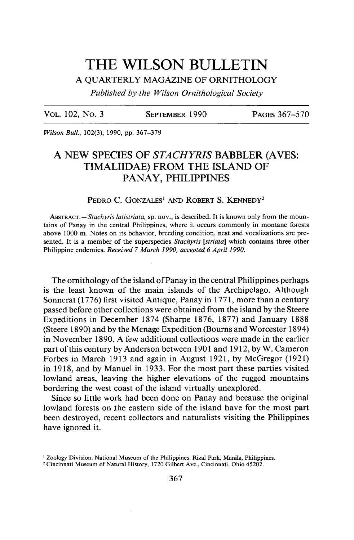# THE WILSON BULLETIN

**A QUARTERLY MAGAZINE OF ORNITHOLOGY** 

**Published by the Wilson Ornithological Society** 

**VOL. 102, No. 3 SEPTEMBER 1990** 

PAGES 367-570

**Wilson Bull., 102(3), 1990, pp. 367-379** 

# **A NEW SPECIES OF STACHYRIS BABBLER (AVES: TIMALIIDAE) FROM THE ISLAND OF PANAY, PHILIPPINES**

PEDRO C. GONZALES<sup>1</sup> AND ROBERT S. KENNEDY<sup>2</sup>

ABSTRACT. - Stachyris latistriata, sp. nov., is described. It is known only from the moun**tains of Panay in the central Philippines, where it occurs commonly in montane forests above 1000 m. Notes on its behavior, breeding condition, nest and vocalizations are presented. It is a member of the superspecies Stachyris [striata] which contains three other Philippine endemics. Received 7 March 1990, accepted 6 April 1990.** 

**The ornithology of the island of Panay in the central Philippines perhaps is the least known of the main islands of the Archipelago. Although Sonnerat (1776) first visited Antique, Panay in 177 1, more than a century passed before other collections were obtained from the island by the Steere Expeditions in December 1874 (Sharpe 1876, 1877) and January 1888 (Steere 1890) and by the Menage Expedition (Bourns and Worcester 1894) in November 1890. A few additional collections were made in the earlier part of this century by Anderson between 190 1 and 19 12, by W. Cameron Forbes in March 1913 and again in August 1921, by McGregor (1921) in 19 18, and by Manuel in 1933. For the most part these parties visited lowland areas, leaving the higher elevations of the rugged mountains bordering the west coast of the island virtually unexplored.** 

**Since so little work had been done on Panay and because the original**  lowland forests on the eastern side of the island have for the most part **been destroyed, recent collectors and naturalists visiting the Philippines have ignored it.** 

**I Zoology Division, National Museum of the Philippines, Rizal Park, Manila, Philippines.** 

**<sup>2</sup> Cincinnati Museum of Natural History, 1720 Gilbert Ave., Cincinnati, Ohio 45202.**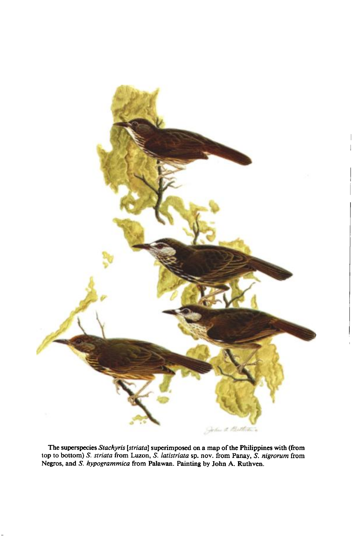

The superspecies Stachyris [striata] superimposed on a map of the Philippines with (from **top to bottom) S. striata from Luzon, S. latistriata sp. nov. from Panay, S. nigrorum from**  Negros, and S. hypogrammica from Palawan. Painting by John A. Ruthven.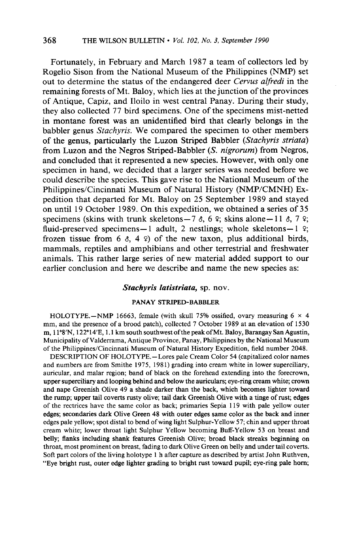**Fortunately, in February and March 1987 a team of collectors led by Rogelio Sison from the National Museum of the Philippines (NMP) set out to determine the status of the endangered deer Cewus alfredi in the remaining forests of Mt. Baloy, which lies at the junction of the provinces of Antique, Capiz, and Iloilo in west central Panay. During their study, they also collected 77 bird specimens. One of the specimens mist-netted in montane forest was an unidentified bird that clearly belongs in the babbler genus Stachyris. We compared the specimen to other members of the genus, particularly the Luzon Striped Babbler (Stachyris striata) from Luzon and the Negros Striped-Babbler (S. nigrorum) from Negros, and concluded that it represented a new species. However, with only one specimen in hand, we decided that a larger series was needed before we could describe the species. This gave rise to the National Museum of the**  Philippines/Cincinnati Museum of Natural History (NMP/CMNH) Ex**pedition that departed for Mt. Baloy on 25 September 1989 and stayed on until 19 October 1989. On this expedition, we obtained a series of 35**  specimens (skins with trunk skeletons -  $7 \delta$ , 6 °; skins alone - 11  $\delta$ , 7 °; fluid-preserved specimens-1 adult, 2 nestlings; whole skeletons-1  $\hat{v}$ ; frozen tissue from  $6 \div 4 \div 9$  of the new taxon, plus additional birds, **mammals, reptiles and amphibians and other terrestrial and freshwater animals. This rather large series of new material added support to our earlier conclusion and here we describe and name the new species as:** 

## Stachyris latistriata, sp. nov.

#### **PANAY STRIPED-BABBLER**

**HOLOTYPE.**-NMP 16663, female (with skull 75% ossified, ovary measuring  $6 \times 4$ **mm, and the presence of a brood patch), collected 7 October 1989 at an elevation of 1530 m, 11"8N, ' 122"14E, ' 1.1 km south southwest ofthe peak ofMt. Baloy, Barangay San Agustin, Municipality of Valderrama, Antique Province, Panay, Philippines by the National Museum of the Philippines/Cincinnati Museum of Natural History Expedition, field number 2048.** 

**DESCRIPTION OF HOLOTYPE. - Lores pale Cream Color 54 (capitalized color names and numbers are from Smithe 1975, 198 1) grading into cream white in lower superciliary, auricular, and malar region; band of black on the forehead extending into the forecrown, upper superciliary and looping behind and below the auriculars; eye-ring cream white; crown and nape Greenish Olive 49 a shade darker than the back, which becomes lighter toward the rump; upper tail coverts rusty olive; tail dark Greenish Olive with a tinge of rust; edges of the rectrices have the same color as back, primaries Sepia 119 with pale yellow outer edges; secondaries dark Olive Green 48 with outer edges same color as the back and inner edges pale yellow; spot distal to bend of wing light Sulphur-Yellow 57; chin and upper throat cream white; lower throat light Sulphur Yellow becoming Buff-Yellow 53 on breast and belly; flanks including shank features Greenish Olive; broad black streaks beginning on throat, most prominent on breast, fading to dark Olive Green on belly and under tail coverts. Soft part colors of the living holotype 1 h after capture as described by artist John Ruthven, "Eye bright rust, outer edge lighter grading to bright rust toward pupil; eye-ring pale horn;**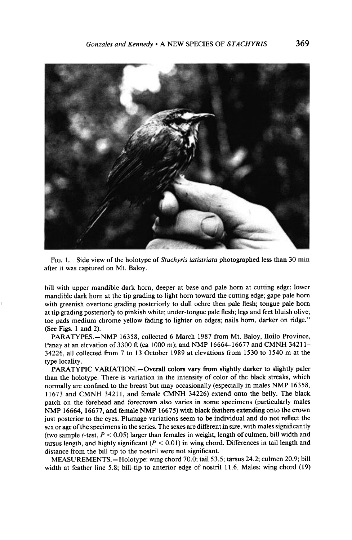

**FIG. 1. Side view of the holotype of Stachyris latistriata photographed less than 30 min after it was captured on Mt. Baloy.** 

**hill with upper mandible dark horn, deeper at base and pale horn at cutting edge; lower mandible dark horn at the tip grading to light horn toward the cutting edge; gape pale horn with greenish overtone grading posteriorly to dull ochre then pale flesh; tongue pale horn at tip grading posteriorly to pinkish white; under-tongue pale flesh; legs and feet bluish olive; toe pads medium chrome yellow fading to lighter on edges; nails horn, darker on ridge." (See Figs. 1 and 2).** 

**PARATYPES.-NMP 16358, collected 6 March 1987 from Mt. Baloy, Iloilo Province, Panay at an elevation of 3300 ft (ca 1000 m); and NMP 16664-16677 and CMNH 3421 l-34226, all collected from 7 to 13 October 1989 at elevations from 1530 to 1540 m at the type locality.** 

**PABATYPIC VARIATION.-Overall colors vary from slightly darker to slightly paler than the holotype. There is variation in the intensity of color of the black streaks, which normally are confined to the breast but may occasionally (especially in males NMP 16358, 11673 and CMNH 34211, and female CMNH 34226) extend onto the belly. The black patch on the forehead and forecrown also varies in some specimens (particularly males NMP 16664, 16677, and female NMP 16675) with black feathers extending onto the crown just posterior to the eyes. Plumage variations seem to be individual and do not reflect the sex or age of the specimens in the series. The sexes are different in size, with males significantly**  (two sample *t*-test,  $P < 0.05$ ) larger than females in weight, length of culmen, bill width and tarsus length, and highly significant  $(P < 0.01)$  in wing chord. Differences in tail length and **distance from the bill tip to the nostril were not significant.** 

**MEASUREMENTS.-Holotype: wing chord 70.0; tail 53.5; tarsus 24.2; culmen 20.9; bill width at feather line 5.8; bill-tip to anterior edge of nostril 11.6. Males: wing chord (19)**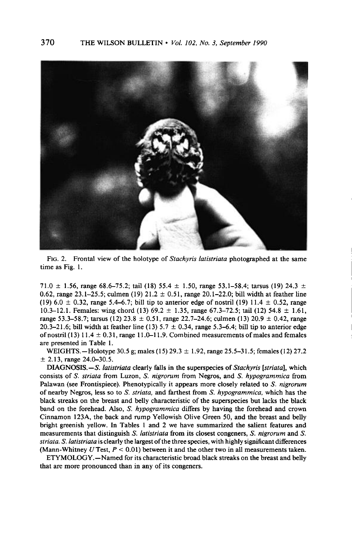

**FIG. 2. Frontal view of the holotype of Stachyris latistriata photographed at the same time as Fig. 1.** 

71.0  $\pm$  1.56, range 68.6–75.2; tail (18) 55.4  $\pm$  1.50, range 53.1–58.4; tarsus (19) 24.3  $\pm$ 0.62, range  $23.1-25.5$ ; culmen (19)  $21.2 \pm 0.51$ , range  $20.1-22.0$ ; bill width at feather line (19) 6.0  $\pm$  0.32, range 5.4–6.7; bill tip to anterior edge of nostril (19) 11.4  $\pm$  0.52, range 10.3-12.1. Females: wing chord (13)  $69.2 \pm 1.35$ , range  $67.3-72.5$ ; tail (12)  $54.8 \pm 1.61$ , **range 53.3–58.7; tarsus (12) 23.8**  $\pm$  0.51, range 22.7–24.6; culmen (13) 20.9  $\pm$  0.42, range 20.3-21.6; bill width at feather line (13)  $5.7 \pm 0.34$ , range  $5.3-6.4$ ; bill tip to anterior edge of nostril (13)  $11.4 \pm 0.31$ , range 11.0-11.9. Combined measurements of males and females **are presented in Table 1.** 

**WEIGHTS.**-Holotype 30.5 g; males (15)  $29.3 \pm 1.92$ , range 25.5-31.5; females (12) 27.2 **+ 2.13, range 24.0-30.5.** 

**DIAGNOSIS.-S. latistriata clearly falls in the superspecies of Stachyris [striata], which consists of S. striata from Luzon, S. nigrorum from Negros, and S. hypogrammica from**  Palawan (see Frontispiece). Phenotypically it appears more closely related to S. nigrorum **of nearby Negros, less so to S. striata, and farthest from S. hypogrammica, which has the black streaks on the breast and belly characteristic of the superspecies but lacks the black band on the forehead. Also, S. hypogrammica differs by having the forehead and crown Cinnamon 123A, the back and rump Yellowish Olive Green 50, and the breast and belly bright greenish yellow. In Tables 1 and 2 we have summarized the salient features and measurements that distinguish S. latistriata from its closest congeners, S. nigrorum and S. striata. S. latistriata is clearly the largest of the three species, with highly significant differences (Mann-Whitney U Test, P < 0.01) between it and the other two in all measurements taken.** 

**ETYMOLOGY.-Named for its characteristic broad black streaks on the breast and belly that are more pronounced than in any of its congeners.**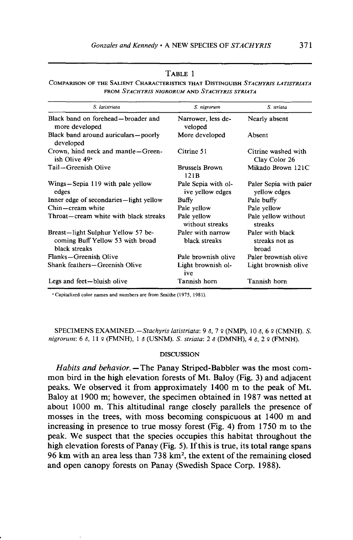| ш |  |
|---|--|
|---|--|

COMPARISON OF THE SALIENT CHARACTERISTICS THAT DISTINGUISH STACHYRIS LATISTRIATA **FROM STACHYRIS NIGRORUM AND STACHYRIS STRIATA** 

| S. latistriata                                                                          | S. nigrorum                             | S. striata                                  |
|-----------------------------------------------------------------------------------------|-----------------------------------------|---------------------------------------------|
| Black band on forehead—broader and<br>more developed                                    | Narrower, less de-<br>veloped           | Nearly absent                               |
| Black band around auriculars—poorly<br>developed                                        | More developed                          | Absent                                      |
| Crown, hind neck and mantle-Green-<br>ish Olive 49 <sup>a</sup>                         | Citrine 51                              | Citrine washed with<br>Clay Color 26        |
| Tail-Greenish Olive                                                                     | <b>Brussels Brown</b><br>121B           | Mikado Brown 121C                           |
| Wings—Sepia 119 with pale yellow<br>edges                                               | Pale Sepia with ol-<br>ive yellow edges | Paler Sepia with paler<br>yellow edges      |
| Inner edge of secondaries—light yellow                                                  | Buffy                                   | Pale buffy                                  |
| Chin—cream white                                                                        | Pale yellow                             | Pale yellow                                 |
| Throat—cream white with black streaks                                                   | Pale yellow<br>without streaks          | Pale yellow without<br>streaks              |
| Breast-light Sulphur Yellow 57 be-<br>coming Buff Yellow 53 with broad<br>black streaks | Paler with narrow<br>black streaks      | Paler with black<br>streaks not as<br>broad |
| Flanks-Greenish Olive                                                                   | Pale brownish olive                     | Paler brownish olive                        |
| Shank feathers—Greenish Olive                                                           | Light brownish ol-<br>ive               | Light brownish olive                        |
| Legs and feet-bluish olive                                                              | Tannish horn                            | Tannish horn                                |

<sup>a</sup> Capitalized color names and numbers are from Smithe (1975, 1981).

SPECIMENS EXAMINED. - Stachyris latistriata: 9 8, 7 º (NMP), 10 8, 6 º (CMNH). S. nigrorum: 6 8, 11 9 (FMNH), 1 8 (USNM). S. striata: 2 8 (DMNH), 4 8, 2 9 (FMNH).

#### **DISCUSSION**

Habits and behavior. - The Panay Striped-Babbler was the most common bird in the high elevation forests of Mt. Baloy (Fig. 3) and adjacent peaks. We observed it from approximately 1400 m to the peak of Mt. Baloy at 1900 m; however, the specimen obtained in 1987 was netted at about 1000 m. This altitudinal range closely parallels the presence of mosses in the trees, with moss becoming conspicuous at 1400 m and increasing in presence to true mossy forest (Fig. 4) from 1750 m to the peak. We suspect that the species occupies this habitat throughout the high elevation forests of Panay (Fig. 5). If this is true, its total range spans 96 km with an area less than 738 km<sup>2</sup>, the extent of the remaining closed and open canopy forests on Panay (Swedish Space Corp. 1988).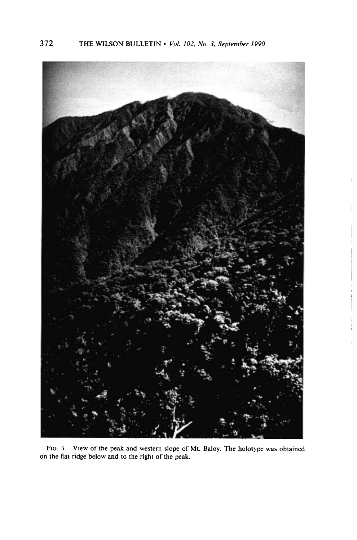

**FIG. 3. View of the peak and western slope of Mt. Baloy. The holotype was obtained on the flat ridge below and to the right of the peak.**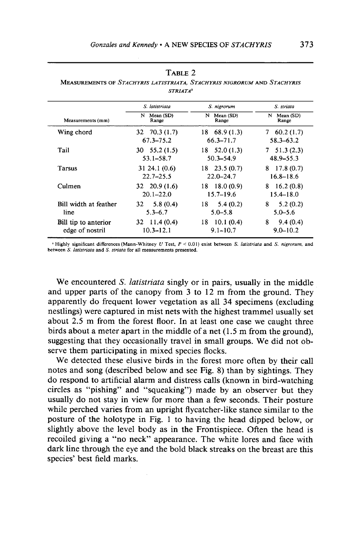#### **TABLE 2**

**MEASUREMENTS OF STACHYRIS LATISTRIATA, STACHYRIS NIGRORUM AND STACHYRIS STRIATAa** 

|                                         | S. latistriata                        | S. nigrorum                     | S. striata                    |
|-----------------------------------------|---------------------------------------|---------------------------------|-------------------------------|
| Measurements (mm)                       | N                                     | N                               | N                             |
|                                         | Mean (SD)                             | Mean (SD)                       | Mean (SD)                     |
|                                         | Range                                 | Range                           | Range                         |
| Wing chord                              | $32 \quad 70.3(1.7)$                  | $18\quad 68.9\ (1.3)$           | $7\quad 60.2(1.7)$            |
|                                         | 67.3–75.2                             | 66.3–71.7                       | $58.3 - 63.2$                 |
| Tail                                    | $30 \quad 55.2 \,(1.5)$               | $18 \quad 52.0(1.3)$            | $7\quad 51.3(2.3)$            |
|                                         | $53.1 - 58.7$                         | $50.3 - 54.9$                   | $48.9 - 55.3$                 |
| <b>Tarsus</b>                           | 31 24.1 (0.6)                         | $18$ 23.5 (0.7)                 | $8\quad 17.8\ (0.7)$          |
|                                         | $22.7 - 25.5$                         | $22.0 - 24.7$                   | 16.8–18.6                     |
| Culmen                                  | $32 \quad 20.9(1.6)$                  | $18 \quad 18.0(0.9)$            | $8\quad 16.2\ (0.8)$          |
|                                         | $20.1 - 22.0$                         | $15.7 - 19.6$                   | $15.4 - 18.0$                 |
| Bill width at feather<br>line           | 5.8(0.4)<br>32<br>$5.3 - 6.7$         | 18<br>5.4(0.2)<br>$5.0 - 5.8$   | 8<br>5.2(0.2)<br>$5.0 - 5.6$  |
| Bill tip to anterior<br>edge of nostril | $32 \quad 11.4(0.4)$<br>$10.3 - 12.1$ | $18$ 10.1 (0.4)<br>$9.1 - 10.7$ | 8<br>9.4(0.4)<br>$9.0 - 10.2$ |

<sup>a</sup> Highly significant differences (Mann-Whitney U Test,  $P < 0.01$ ) exist between *S. latistriata* and *S. nigrorum*, and between *S. latistriata* and *S. striata* for all measurements presented.

We encountered *S. latistriata* singly or in pairs, usually in the middle **and upper parts of the canopy from 3 to 12 m from the ground. They apparently do frequent lower vegetation as all 34 specimens (excluding nestlings) were captured in mist nets with the highest trammel usually set about 2.5 m from the forest floor. In at least one case we caught three birds about a meter apart in the middle of a net (1.5 m from the ground), suggesting that they occasionally travel in small groups. We did not observe them participating in mixed species flocks.** 

**We detected these elusive birds in the forest more often by their call notes and song (described below and see Fig. 8) than by sightings. They do respond to artificial alarm and distress calls (known in bird-watching circles as "pishing" and "squeaking") made by an observer but they usually do not stay in view for more than a few seconds. Their posture while perched varies from an upright flycatcher-like stance similar to the posture of the holotype in Fig. 1 to having the head dipped below, or slightly above the level body as in the Frontispiece. Often the head is recoiled giving a "no neck" appearance. The white lores and face with dark line through the eye and the bold black streaks on the breast are this species' best field marks.**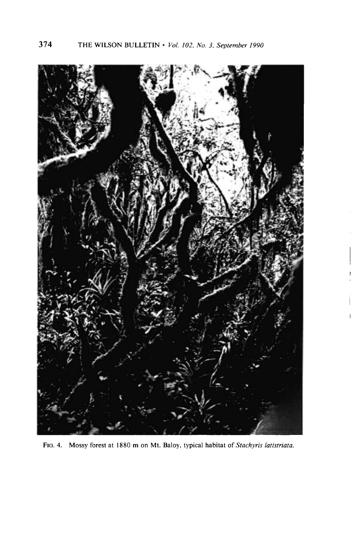

FIG. 4. Mossy forest at 1880 m on Mt. Baloy, typical habitat of *Stachyris latistriata*.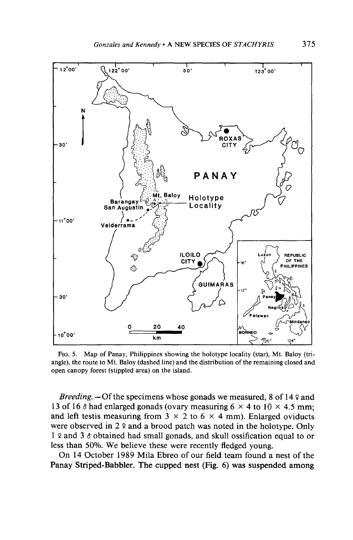

**FIG. 5. Map of Panay, Philippines showing the holotype locality (star), Mt. Baloy (triangle), the route to Mt. Baloy (dashed line) and the distribution of the remaining closed and open canopy forest (stippled area) on the island.** 

**Breeding.**  $\rightarrow$  Of the specimens whose gonads we measured, 8 of 14  $\circ$  and 13 of 16  $\delta$  had enlarged gonads (ovary measuring  $6 \times 4$  to  $10 \times 4.5$  mm; and left testis measuring from  $3 \times 2$  to  $6 \times 4$  mm). Enlarged oviducts were observed in 2 º and a brood patch was noted in the holotype. Only **1 P and 3 8 obtained had small gonads, and skull ossification equal to or less than 50%. We believe these were recently fledged young.** 

**On 14 October 1989 Mila Ebreo of our field team found a nest of the Panay Striped-Babbler. The cupped nest (Fig. 6) was suspended among**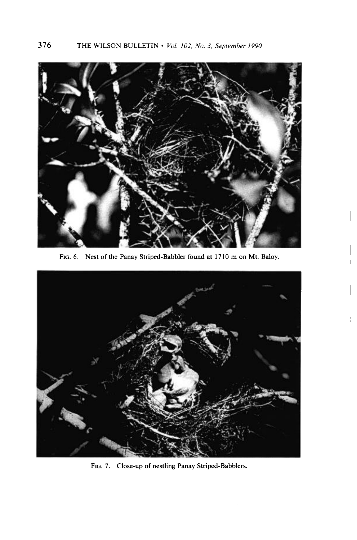

**FIG. 6. Nest of the Panay Striped-Babbler found at 1710 m on Mt. Baloy.** 



**FIG. 7. Close-up of nestling Panay Striped-Babblers.**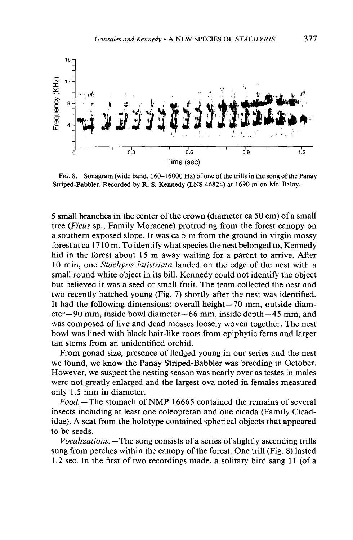

**FIG. 8. Sonagram (wide band, 160-l 6000 Hz) of one of the trills in the song of the Panay Striped-Babbler. Recorded by R. S. Kennedy (LNS 46824) at 1690 m on Mt. Baloy.** 

**5 small branches in the center of the crown (diameter ca 50 cm) of a small tree (Ficus sp., Family Moraceae) protruding from the forest canopy on a southern exposed slope. It was ca 5 m from the ground in virgin mossy forest at ca 17 10 m. To identify what species the nest belonged to, Kennedy hid in the forest about 15 m away waiting for a parent to arrive. After**  10 min, one *Stachyris latistriata* landed on the edge of the nest with a **small round white object in its bill. Kennedy could not identify the object but believed it was a seed or small fruit. The team collected the nest and two recently hatched young (Fig. 7) shortly after the nest was identified.**  It had the following dimensions: overall height-70 mm, outside diam**eter-90 mm, inside bowl diameter-66 mm, inside depth-45 mm, and was composed of live and dead mosses loosely woven together. The nest bowl was lined with black hair-like roots from epiphytic ferns and larger tan stems from an unidentified orchid.** 

**From gonad size, presence of fledged young in our series and the nest we found, we know the Panay Striped-Babbler was breeding in October. However, we suspect the nesting season was nearly over as testes in males were not greatly enlarged and the largest ova noted in females measured only 1.5 mm in diameter.** 

**Food. -The stomach of NMP 16665 contained the remains of several insects including at least one coleopteran and one cicada (Family Cicadidae). A scat from the holotype contained spherical objects that appeared to be seeds.** 

**Vocalizations. -The song consists of a series of slightly ascending trills sung from perches within the canopy of the forest, One trill (Fig. 8) lasted 1.2 sec. In the first of two recordings made, a solitary bird sang 11 (of a**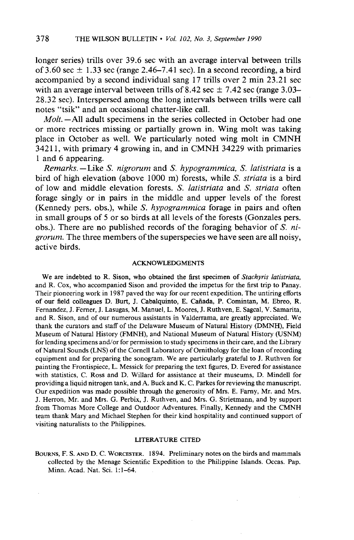**longer series) trills over 39.6 set with an average interval between trills**  of 3.60 sec  $\pm$  1.33 sec (range 2.46-7.41 sec). In a second recording, a bird **accompanied by a second individual sang 17 trills over 2 min 23.21 set**  with an average interval between trills of 8.42 sec  $\pm$  7.42 sec (range 3.03– **28.32 set). Interspersed among the long intervals between trills were call notes "tsik" and an occasional chatter-like call.** 

**Molt. -All adult specimens in the series collected in October had one or more rectrices missing or partially grown in. Wing molt was taking place in October as well. We particularly noted wing molt in CMNH 342 11, with primary 4 growing in, and in CMNH 34229 with primaries 1 and 6 appearing.** 

**Remarks.** --Like S. nigrorum and S. hypogrammica, S. latistriata is a **bird of high elevation (above 1000 m) forests, while S. striata is a bird of low and middle elevation forests. S. latistriata and S. striata often forage singly or in pairs in the middle and upper levels of the forest (Kennedy pers. obs.), while S. hypogrammica forage in pairs and often in small groups of 5 or so birds at all levels of the forests (Gonzales pers. obs.). There are no published records of the foraging behavior of S. nigrorum. The three members of the superspecies we have seen are all noisy, active birds.** 

#### **ACKNOWLEDGMENTS**

**We are indebted to R. Sison, who obtained the first specimen of Stachyris latistriata, and R. Cox, who accompanied Sison and provided the impetus for the first trip to Panay. Their pioneering work in 1987 paved the way for our recent expedition. The untiring efforts of our field colleagues D. Burt, J. Cabalquinto, E. Canada, P. Comintan, M. Ebreo, R. Femandez, J. Femer, J. Lasugas, M. Manuel, L. Moores, J. Ruthven, E. Sagcal, V. Samarita, and R. Sison, and of our numerous assistants in Valderrama, are greatly appreciated. We thank the curators and staff of the Delaware Museum of Natural History (DMNH), Field Museum of Natural History (FMNH), and National Museum of Natural History (USNM) for lending specimens and/or for permission to study specimens in their care, and the Library of Natural Sounds (LNS) of the Cornell Laboratory of Ornithology for the loan of recording equipment and for preparing the sonogram. We are particularly grateful to J. Ruthven for painting the Frontispiece, L. Messick for preparing the text figures, D. Evered for assistance with statistics, C. Ross and D. Willard for assistance at their museums, D. Mindell for providing a liquid nitrogen tank, and A. Buck and K. C. Parkes for reviewing the manuscript. Our expedition was made possible through the generosity of Mrs. E. Famy, Mr. and Mrs. J. Herron, Mr. and Mrs. G. Perbix, J. Ruthven, and Mrs. G. Strietmann, and by support from Thomas More College and Outdoor Adventures. Finally, Kennedy and the CMNH team thank Mary and Michael Stephen for their kind hospitality and continued support of visiting naturalists to the Philippines.** 

#### **LITERATURE CITED**

**BOURNS, F. S. AND D. C. WORCESTER. 1894. Preliminary notes on the birds and mammals collected by the Menage Scientific Expedition to the Philippine Islands. Occas. Pap. Minn. Acad. Nat. Sci. l:l-64.**